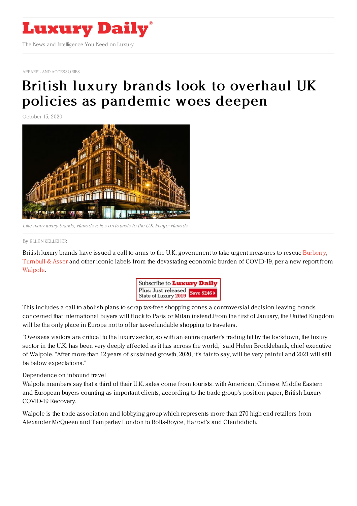

APPAREL AND [ACCESSORIES](https://www.luxurydaily.com/category/sectors/apparel-and-accessories/)

## British luxury brands look to overhaul UK policies as [pandemic](https://www.luxurydaily.com/iconic-british-brands-rush-to-condemn-end-to-tax-free-shopping/) woes deepen

October 15, 2020



Like many luxury brands, Harrods relies on tourists to the U.K. Image: Harrods

## By ELLEN [KELLEHER](file:///author/ellen-kelleher)

British luxury brands have issued a call to arms to the U.K. government to take urgent measures to rescue [Burberry](http://burberry.co.uk), [Turnbull](https://turnbullandasser.com/) & Asser and other iconic labels from the devastating economic burden of COVID-19, per a new report from [Walpole](https://www.thewalpole.co.uk).



This includes a call to abolish plans to scrap tax-free shopping zones a controversial decision leaving brands concerned that international buyers will flock to Paris or Milan instead.From the first of January, the United Kingdom will be the only place in Europe not to offer tax-refundable shopping to travelers.

"Overseas visitors are critical to the luxury sector, so with an entire quarter's trading hit by the lockdown, the luxury sector in the U.K. has been very deeply affected as it has across the world," said Helen Brocklebank, chief executive of Walpole. "After more than 12 years of sustained growth, 2020, it's fair to say, will be very painful and 2021 will still be below expectations."

## Dependence on inbound travel

Walpole members say that a third of their U.K. sales come from tourists, with American, Chinese, Middle Eastern and European buyers counting as important clients, according to the trade group's position paper, British Luxury COVID-19 Recovery.

Walpole is the trade association and lobbying group which represents more than 270 high-end retailers from Alexander McQueen and Temperley London to Rolls-Royce, Harrod's and Glenfiddich.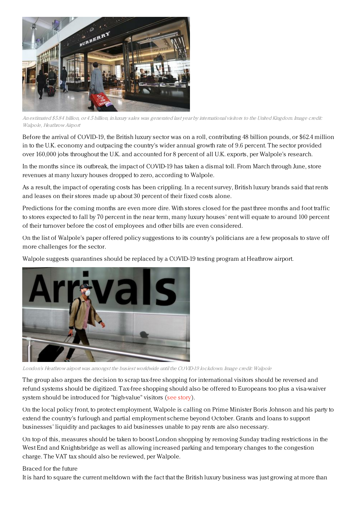

An estimated \$5.84 billion, or 4.5 billion, in luxury sales was generated last year by international visitors to the United Kingdom. Image credit: Walpole, Heathrow Airport

Before the arrival of COVID-19, the British luxury sector was on a roll, contributing 48 billion pounds, or \$62.4 million in to the U.K. economy and outpacing the country's wider annual growth rate of 9.6 percent. The sector provided over 160,000 jobs throughout the U.K. and accounted for 8 percent of all U.K. exports, per Walpole's research.

In the months since its outbreak, the impact of COVID-19 has taken a dismal toll. From March through June, store revenues at many luxury houses dropped to zero, according to Walpole.

As a result, the impact of operating costs has been crippling. In a recent survey, British luxury brands said that rents and leases on their stores made up about 30 percent of their fixed costs alone.

Predictions for the coming months are even more dire. With stores closed for the past three months and foot traffic to stores expected to fall by 70 percent in the near term, many luxury houses' rent will equate to around 100 percent of their turnover before the cost of employees and other bills are even considered.

On the list of Walpole's paper offered policy suggestions to its country's politicians are a few proposals to stave off more challenges for the sector.

Walpole suggests quarantines should be replaced by a COVID-19 testing program at Heathrow airport.



London's Heathrow airport was amongst the busiest worldwide until the COVID-19 lockdown. Image credit: Walpole

The group also argues the decision to scrap tax-free shopping for international visitors should be reversed and refund systems should be digitized. Tax-free shopping should also be offered to Europeans too plus a visa-waiver system should be introduced for "high-value" visitors (see [story](https://www.luxurydaily.com/walpole-seeks-british-luxury-brands-support-to-contest-uk-governments-decision-to-end-tax-free-shopping/)).

On the local policy front, to protect employment, Walpole is calling on Prime Minister Boris Johnson and his party to extend the country's furlough and partial employment scheme beyond October. Grants and loans to support businesses' liquidity and packages to aid businesses unable to pay rents are also necessary.

On top of this, measures should be taken to boost London shopping by removing Sunday trading restrictions in the West End and Knightsbridge as well as allowing increased parking and temporary changes to the congestion charge. The VAT tax should also be reviewed, per Walpole.

## Braced for the future

It is hard to square the current meltdown with the fact that the British luxury business was just growing at more than